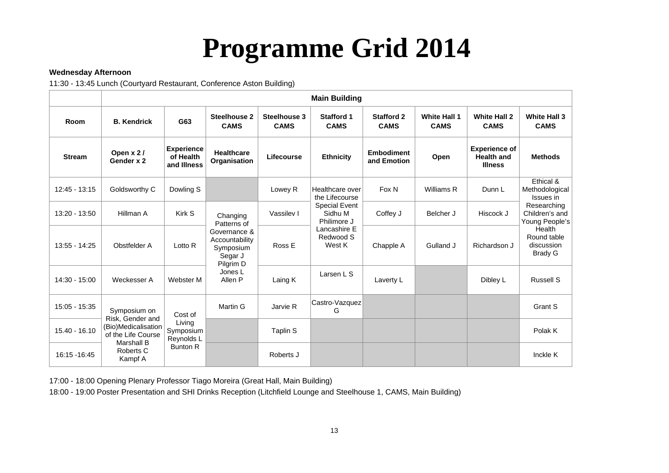# **Programme Grid 2014**

#### **Wednesday Afternoon**

11:30 - 13:45 Lunch (Courtyard Restaurant, Conference Aston Building)

|                 | <b>Main Building</b>                                                                                                          |                                               |                                                                                                                                 |                             |                                                                                       |                                  |                                    |                                                             |                                                                                                          |
|-----------------|-------------------------------------------------------------------------------------------------------------------------------|-----------------------------------------------|---------------------------------------------------------------------------------------------------------------------------------|-----------------------------|---------------------------------------------------------------------------------------|----------------------------------|------------------------------------|-------------------------------------------------------------|----------------------------------------------------------------------------------------------------------|
| Room            | <b>B. Kendrick</b>                                                                                                            | G63                                           | Steelhouse 2<br><b>CAMS</b>                                                                                                     | Steelhouse 3<br><b>CAMS</b> | <b>Stafford 1</b><br><b>CAMS</b>                                                      | <b>Stafford 2</b><br><b>CAMS</b> | <b>White Hall 1</b><br><b>CAMS</b> | <b>White Hall 2</b><br><b>CAMS</b>                          | <b>White Hall 3</b><br><b>CAMS</b>                                                                       |
| <b>Stream</b>   | Open x 2/<br>Gender x 2                                                                                                       | <b>Experience</b><br>of Health<br>and Illness | <b>Healthcare</b><br>Organisation                                                                                               | Lifecourse                  | <b>Ethnicity</b>                                                                      | <b>Embodiment</b><br>and Emotion | Open                               | <b>Experience of</b><br><b>Health and</b><br><b>Illness</b> | <b>Methods</b>                                                                                           |
| 12:45 - 13:15   | Goldsworthy C                                                                                                                 | Dowling S                                     |                                                                                                                                 | Lowey R                     | Healthcare over<br>the Lifecourse                                                     | Fox N                            | Williams R                         | Dunn L                                                      | Ethical &<br>Methodological<br>Issues in                                                                 |
| 13:20 - 13:50   | Hillman A                                                                                                                     | Kirk S                                        | Changing<br>Patterns of<br>Governance &<br>Accountability<br>Symposium<br>Segar J<br>Pilgrim D<br>Jones L<br>Allen <sub>P</sub> | Vassilev I                  | <b>Special Event</b><br>Sidhu M<br>Philimore J<br>Lancashire E<br>Redwood S<br>West K | Coffey J                         | Belcher J                          | Hiscock J                                                   | Researching<br>Children's and<br>Young People's<br>Health<br>Round table<br>discussion<br><b>Brady G</b> |
| 13:55 - 14:25   | Obstfelder A                                                                                                                  | Lotto R                                       |                                                                                                                                 | Ross E                      |                                                                                       | Chapple A                        | Gulland J                          | Richardson J                                                |                                                                                                          |
| $14:30 - 15:00$ | Weckesser A                                                                                                                   | Webster M                                     |                                                                                                                                 | Laing K                     | Larsen L S                                                                            | Laverty L                        |                                    | Dibley L                                                    | <b>Russell S</b>                                                                                         |
| 15:05 - 15:35   | Symposium on<br>Risk, Gender and<br>Living<br>(Bio)Medicalisation<br>of the Life Course<br>Marshall B<br>Roberts C<br>Kampf A | Cost of                                       | Martin G                                                                                                                        | Jarvie R                    | Castro-Vazquez<br>G                                                                   |                                  |                                    |                                                             | Grant S                                                                                                  |
| 15.40 - 16.10   |                                                                                                                               | Symposium<br>Reynolds L                       |                                                                                                                                 | Taplin S                    |                                                                                       |                                  |                                    |                                                             | Polak K                                                                                                  |
| 16:15 - 16:45   |                                                                                                                               | <b>Bunton R</b>                               |                                                                                                                                 | Roberts J                   |                                                                                       |                                  |                                    |                                                             | Inckle K                                                                                                 |

17:00 - 18:00 Opening Plenary Professor Tiago Moreira (Great Hall, Main Building)

18:00 - 19:00 Poster Presentation and SHI Drinks Reception (Litchfield Lounge and Steelhouse 1, CAMS, Main Building)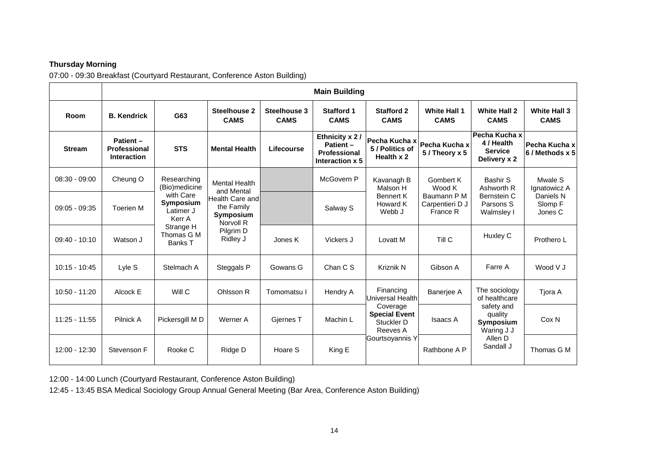## **Thursday Morning**

07:00 - 09:30 Breakfast (Courtyard Restaurant, Conference Aston Building)

|                 | <b>Main Building</b>                           |                                                                                                                            |                                                                                                                                      |                             |                                                                       |                                                                  |                                                                   |                                                                  |                                                            |
|-----------------|------------------------------------------------|----------------------------------------------------------------------------------------------------------------------------|--------------------------------------------------------------------------------------------------------------------------------------|-----------------------------|-----------------------------------------------------------------------|------------------------------------------------------------------|-------------------------------------------------------------------|------------------------------------------------------------------|------------------------------------------------------------|
| Room            | <b>B.</b> Kendrick                             | G63                                                                                                                        | <b>Steelhouse 2</b><br><b>CAMS</b>                                                                                                   | Steelhouse 3<br><b>CAMS</b> | <b>Stafford 1</b><br><b>CAMS</b>                                      | <b>Stafford 2</b><br><b>CAMS</b>                                 | <b>White Hall 1</b><br><b>CAMS</b>                                | <b>White Hall 2</b><br><b>CAMS</b>                               | <b>White Hall 3</b><br><b>CAMS</b>                         |
| <b>Stream</b>   | Patient-<br>Professional<br><b>Interaction</b> | <b>STS</b>                                                                                                                 | <b>Mental Health</b>                                                                                                                 | Lifecourse                  | Ethnicity x 2/<br><b>Patient -</b><br>Professional<br>Interaction x 5 | Pecha Kucha x<br>5 / Politics of<br>Health x 2                   | Pecha Kucha x<br>5 / Theory x 5                                   | Pecha Kucha x<br>4 / Health<br><b>Service</b><br>Delivery x 2    | Pecha Kucha x<br>6 / Methods x 5                           |
| $08:30 - 09:00$ | Cheung O                                       | Researching<br>(Bio)medicine<br>with Care<br>Symposium<br>Latimer J<br>Kerr A<br>Strange H<br>Thomas G M<br><b>Banks T</b> | <b>Mental Health</b><br>and Mental<br><b>Health Care and</b><br>the Family<br><b>Symposium</b><br>Norvoll R<br>Pilgrim D<br>Ridley J |                             | McGovern P                                                            | Kavanagh B<br>Malson H<br><b>Bennert K</b><br>Howard K<br>Webb J | Gombert K<br>Wood K<br>Baumann P M<br>Carpentieri D J<br>France R | Bashir S<br>Ashworth R<br>Bernstein C<br>Parsons S<br>Walmsley I | Mwale S<br>Ignatowicz A<br>Daniels N<br>Slomp F<br>Jones C |
| $09:05 - 09:35$ | <b>Toerien M</b>                               |                                                                                                                            |                                                                                                                                      |                             | Salway S                                                              |                                                                  |                                                                   |                                                                  |                                                            |
| $09:40 - 10:10$ | Watson J                                       |                                                                                                                            |                                                                                                                                      | Jones K                     | Vickers J                                                             | Lovatt M                                                         | Till C                                                            | Huxley C                                                         | Prothero L                                                 |
| $10:15 - 10:45$ | Lyle S                                         | Stelmach A                                                                                                                 | Steggals P                                                                                                                           | Gowans G                    | Chan C S                                                              | Kriznik N                                                        | Gibson A                                                          | Farre A                                                          | Wood V J                                                   |
| 10:50 - 11:20   | Alcock E                                       | Will C                                                                                                                     | Ohlsson R                                                                                                                            | Tomomatsu I                 | Hendry A                                                              | Financing<br>Universal Health                                    | Banerjee A                                                        | The sociology<br>of healthcare                                   | Tjora A                                                    |
| $11:25 - 11:55$ | Pilnick A                                      | Pickersgill M D                                                                                                            | Werner A                                                                                                                             | Giernes T                   | Machin L                                                              | Coverage<br><b>Special Event</b><br>Stuckler D<br>Reeves A       | <b>Isaacs A</b>                                                   | safety and<br>quality<br>Symposium<br>Waring J J                 | Cox N                                                      |
| 12:00 - 12:30   | Stevenson F                                    | Rooke C                                                                                                                    | Ridge D                                                                                                                              | Hoare S                     | King E                                                                | Gourtsoyannis Y                                                  | Rathbone A P                                                      | Allen D<br>Sandall J                                             | Thomas G M                                                 |

12:00 - 14:00 Lunch (Courtyard Restaurant, Conference Aston Building)

12:45 - 13:45 BSA Medical Sociology Group Annual General Meeting (Bar Area, Conference Aston Building)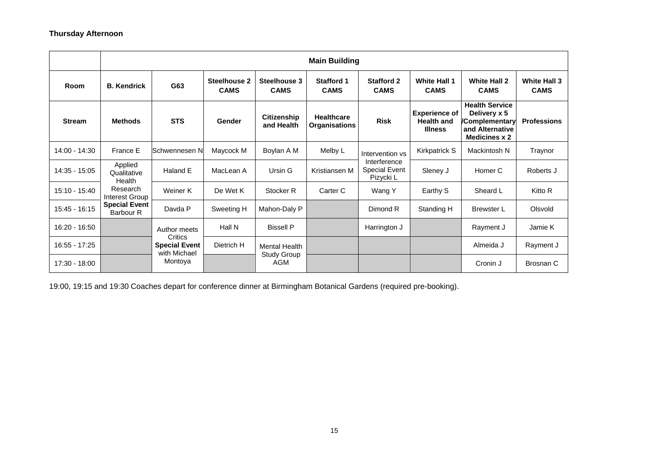#### **Thursday Afternoon**

|               | <b>Main Building</b>              |                                                                            |                                    |                                  |                                           |                                            |                                                             |                                                                                             |                                    |
|---------------|-----------------------------------|----------------------------------------------------------------------------|------------------------------------|----------------------------------|-------------------------------------------|--------------------------------------------|-------------------------------------------------------------|---------------------------------------------------------------------------------------------|------------------------------------|
| <b>Room</b>   | <b>B.</b> Kendrick                | G63                                                                        | <b>Steelhouse 2</b><br><b>CAMS</b> | Steelhouse 3<br><b>CAMS</b>      | <b>Stafford 1</b><br><b>CAMS</b>          | <b>Stafford 2</b><br><b>CAMS</b>           | <b>White Hall 1</b><br><b>CAMS</b>                          | <b>White Hall 2</b><br><b>CAMS</b>                                                          | <b>White Hall 3</b><br><b>CAMS</b> |
| <b>Stream</b> | <b>Methods</b>                    | <b>STS</b>                                                                 | Gender                             | <b>Citizenship</b><br>and Health | <b>Healthcare</b><br><b>Organisations</b> | <b>Risk</b>                                | <b>Experience of</b><br><b>Health and</b><br><b>Illness</b> | <b>Health Service</b><br>Delivery x 5<br>/Complementary<br>and Alternative<br>Medicines x 2 | <b>Professions</b>                 |
| 14:00 - 14:30 | France E                          | lSchwennesen N                                                             | Maycock M                          | Boylan A M                       | Melby L                                   | Intervention vs                            | Kirkpatrick S                                               | Mackintosh N                                                                                | Traynor                            |
| 14:35 - 15:05 | Applied<br>Qualitative<br>Health  | Haland E                                                                   | MacLean A                          | Ursin G                          | Kristiansen M                             | Interference<br>Special Event<br>Pizycki L | Sleney J                                                    | Homer C                                                                                     | Roberts J                          |
| 15:10 - 15:40 | Research<br>Interest Group        | Weiner K                                                                   | De Wet K                           | Stocker <sub>R</sub>             | Carter C                                  | Wang Y                                     | Earthy S                                                    | Sheard L                                                                                    | Kitto R                            |
| 15:45 - 16:15 | <b>Special Event</b><br>Barbour R | Davda P                                                                    | Sweeting H                         | Mahon-Daly P                     |                                           | Dimond R                                   | Standing H                                                  | <b>Brewster L</b>                                                                           | Olsvold                            |
| 16:20 - 16:50 |                                   | Author meets<br>Critics<br><b>Special Event</b><br>with Michael<br>Montoya | Hall N                             | <b>Bissell P</b>                 |                                           | Harrington J                               |                                                             | Rayment J                                                                                   | Jamie K                            |
| 16:55 - 17:25 |                                   |                                                                            | Dietrich H                         | <b>Mental Health</b>             |                                           |                                            |                                                             | Almeida J                                                                                   | Rayment J                          |
| 17:30 - 18:00 |                                   |                                                                            |                                    | <b>Study Group</b><br>AGM        |                                           |                                            |                                                             | Cronin J                                                                                    | Brosnan C                          |

19:00, 19:15 and 19:30 Coaches depart for conference dinner at Birmingham Botanical Gardens (required pre-booking).